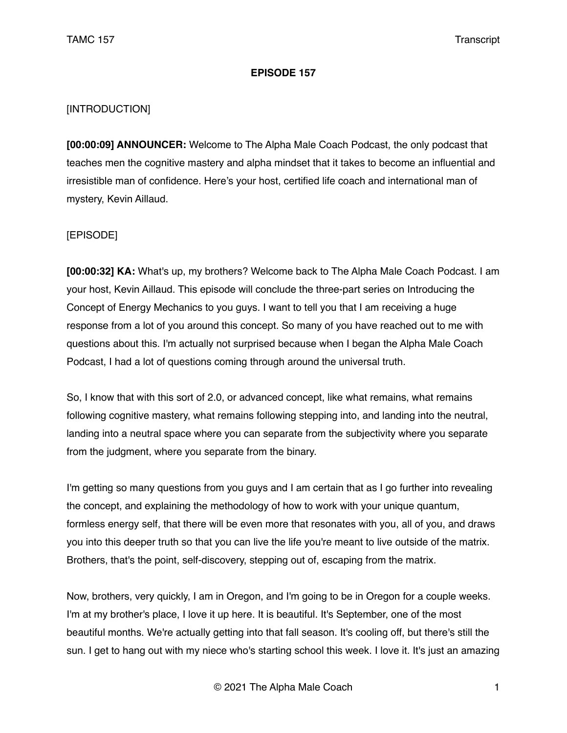## **EPISODE 157**

## [INTRODUCTION]

**[00:00:09] ANNOUNCER:** Welcome to The Alpha Male Coach Podcast, the only podcast that teaches men the cognitive mastery and alpha mindset that it takes to become an influential and irresistible man of confidence. Here's your host, certified life coach and international man of mystery, Kevin Aillaud.

## [EPISODE]

**[00:00:32] KA:** What's up, my brothers? Welcome back to The Alpha Male Coach Podcast. I am your host, Kevin Aillaud. This episode will conclude the three-part series on Introducing the Concept of Energy Mechanics to you guys. I want to tell you that I am receiving a huge response from a lot of you around this concept. So many of you have reached out to me with questions about this. I'm actually not surprised because when I began the Alpha Male Coach Podcast, I had a lot of questions coming through around the universal truth.

So, I know that with this sort of 2.0, or advanced concept, like what remains, what remains following cognitive mastery, what remains following stepping into, and landing into the neutral, landing into a neutral space where you can separate from the subjectivity where you separate from the judgment, where you separate from the binary.

I'm getting so many questions from you guys and I am certain that as I go further into revealing the concept, and explaining the methodology of how to work with your unique quantum, formless energy self, that there will be even more that resonates with you, all of you, and draws you into this deeper truth so that you can live the life you're meant to live outside of the matrix. Brothers, that's the point, self-discovery, stepping out of, escaping from the matrix.

Now, brothers, very quickly, I am in Oregon, and I'm going to be in Oregon for a couple weeks. I'm at my brother's place, I love it up here. It is beautiful. It's September, one of the most beautiful months. We're actually getting into that fall season. It's cooling off, but there's still the sun. I get to hang out with my niece who's starting school this week. I love it. It's just an amazing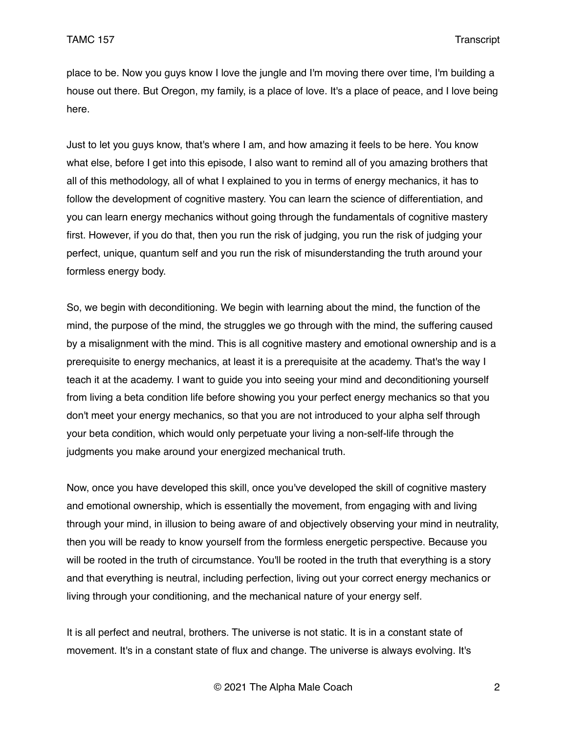place to be. Now you guys know I love the jungle and I'm moving there over time, I'm building a house out there. But Oregon, my family, is a place of love. It's a place of peace, and I love being here.

Just to let you guys know, that's where I am, and how amazing it feels to be here. You know what else, before I get into this episode, I also want to remind all of you amazing brothers that all of this methodology, all of what I explained to you in terms of energy mechanics, it has to follow the development of cognitive mastery. You can learn the science of differentiation, and you can learn energy mechanics without going through the fundamentals of cognitive mastery first. However, if you do that, then you run the risk of judging, you run the risk of judging your perfect, unique, quantum self and you run the risk of misunderstanding the truth around your formless energy body.

So, we begin with deconditioning. We begin with learning about the mind, the function of the mind, the purpose of the mind, the struggles we go through with the mind, the suffering caused by a misalignment with the mind. This is all cognitive mastery and emotional ownership and is a prerequisite to energy mechanics, at least it is a prerequisite at the academy. That's the way I teach it at the academy. I want to guide you into seeing your mind and deconditioning yourself from living a beta condition life before showing you your perfect energy mechanics so that you don't meet your energy mechanics, so that you are not introduced to your alpha self through your beta condition, which would only perpetuate your living a non-self-life through the judgments you make around your energized mechanical truth.

Now, once you have developed this skill, once you've developed the skill of cognitive mastery and emotional ownership, which is essentially the movement, from engaging with and living through your mind, in illusion to being aware of and objectively observing your mind in neutrality, then you will be ready to know yourself from the formless energetic perspective. Because you will be rooted in the truth of circumstance. You'll be rooted in the truth that everything is a story and that everything is neutral, including perfection, living out your correct energy mechanics or living through your conditioning, and the mechanical nature of your energy self.

It is all perfect and neutral, brothers. The universe is not static. It is in a constant state of movement. It's in a constant state of flux and change. The universe is always evolving. It's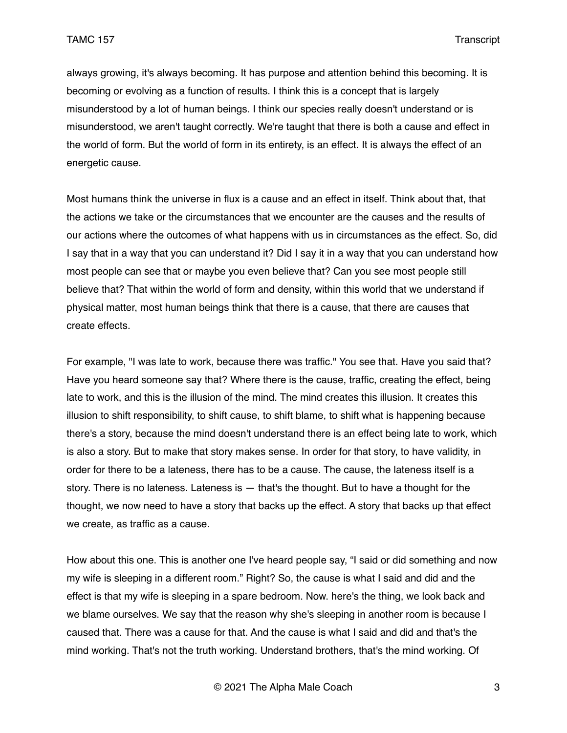always growing, it's always becoming. It has purpose and attention behind this becoming. It is becoming or evolving as a function of results. I think this is a concept that is largely misunderstood by a lot of human beings. I think our species really doesn't understand or is misunderstood, we aren't taught correctly. We're taught that there is both a cause and effect in the world of form. But the world of form in its entirety, is an effect. It is always the effect of an energetic cause.

Most humans think the universe in flux is a cause and an effect in itself. Think about that, that the actions we take or the circumstances that we encounter are the causes and the results of our actions where the outcomes of what happens with us in circumstances as the effect. So, did I say that in a way that you can understand it? Did I say it in a way that you can understand how most people can see that or maybe you even believe that? Can you see most people still believe that? That within the world of form and density, within this world that we understand if physical matter, most human beings think that there is a cause, that there are causes that create effects.

For example, "I was late to work, because there was traffic." You see that. Have you said that? Have you heard someone say that? Where there is the cause, traffic, creating the effect, being late to work, and this is the illusion of the mind. The mind creates this illusion. It creates this illusion to shift responsibility, to shift cause, to shift blame, to shift what is happening because there's a story, because the mind doesn't understand there is an effect being late to work, which is also a story. But to make that story makes sense. In order for that story, to have validity, in order for there to be a lateness, there has to be a cause. The cause, the lateness itself is a story. There is no lateness. Lateness is — that's the thought. But to have a thought for the thought, we now need to have a story that backs up the effect. A story that backs up that effect we create, as traffic as a cause.

How about this one. This is another one I've heard people say, "I said or did something and now my wife is sleeping in a different room." Right? So, the cause is what I said and did and the effect is that my wife is sleeping in a spare bedroom. Now. here's the thing, we look back and we blame ourselves. We say that the reason why she's sleeping in another room is because I caused that. There was a cause for that. And the cause is what I said and did and that's the mind working. That's not the truth working. Understand brothers, that's the mind working. Of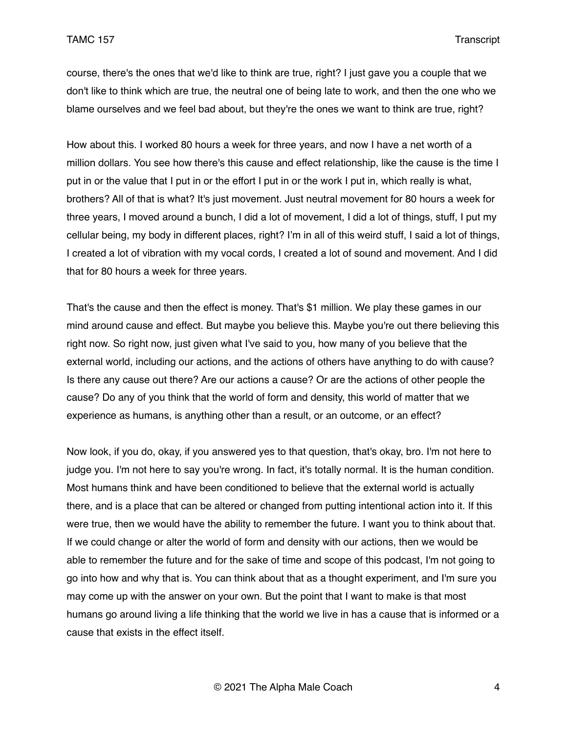course, there's the ones that we'd like to think are true, right? I just gave you a couple that we don't like to think which are true, the neutral one of being late to work, and then the one who we blame ourselves and we feel bad about, but they're the ones we want to think are true, right?

How about this. I worked 80 hours a week for three years, and now I have a net worth of a million dollars. You see how there's this cause and effect relationship, like the cause is the time I put in or the value that I put in or the effort I put in or the work I put in, which really is what, brothers? All of that is what? It's just movement. Just neutral movement for 80 hours a week for three years, I moved around a bunch, I did a lot of movement, I did a lot of things, stuff, I put my cellular being, my body in different places, right? I'm in all of this weird stuff, I said a lot of things, I created a lot of vibration with my vocal cords, I created a lot of sound and movement. And I did that for 80 hours a week for three years.

That's the cause and then the effect is money. That's \$1 million. We play these games in our mind around cause and effect. But maybe you believe this. Maybe you're out there believing this right now. So right now, just given what I've said to you, how many of you believe that the external world, including our actions, and the actions of others have anything to do with cause? Is there any cause out there? Are our actions a cause? Or are the actions of other people the cause? Do any of you think that the world of form and density, this world of matter that we experience as humans, is anything other than a result, or an outcome, or an effect?

Now look, if you do, okay, if you answered yes to that question, that's okay, bro. I'm not here to judge you. I'm not here to say you're wrong. In fact, it's totally normal. It is the human condition. Most humans think and have been conditioned to believe that the external world is actually there, and is a place that can be altered or changed from putting intentional action into it. If this were true, then we would have the ability to remember the future. I want you to think about that. If we could change or alter the world of form and density with our actions, then we would be able to remember the future and for the sake of time and scope of this podcast, I'm not going to go into how and why that is. You can think about that as a thought experiment, and I'm sure you may come up with the answer on your own. But the point that I want to make is that most humans go around living a life thinking that the world we live in has a cause that is informed or a cause that exists in the effect itself.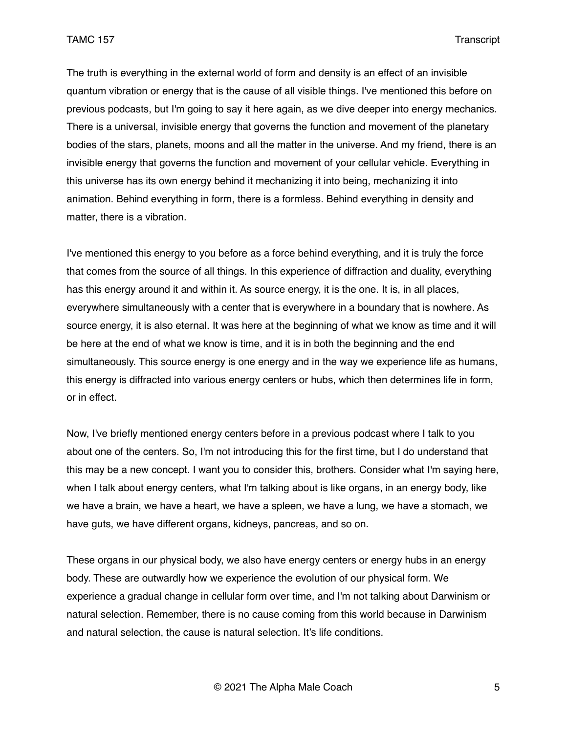The truth is everything in the external world of form and density is an effect of an invisible quantum vibration or energy that is the cause of all visible things. I've mentioned this before on previous podcasts, but I'm going to say it here again, as we dive deeper into energy mechanics. There is a universal, invisible energy that governs the function and movement of the planetary bodies of the stars, planets, moons and all the matter in the universe. And my friend, there is an invisible energy that governs the function and movement of your cellular vehicle. Everything in this universe has its own energy behind it mechanizing it into being, mechanizing it into animation. Behind everything in form, there is a formless. Behind everything in density and matter, there is a vibration.

I've mentioned this energy to you before as a force behind everything, and it is truly the force that comes from the source of all things. In this experience of diffraction and duality, everything has this energy around it and within it. As source energy, it is the one. It is, in all places, everywhere simultaneously with a center that is everywhere in a boundary that is nowhere. As source energy, it is also eternal. It was here at the beginning of what we know as time and it will be here at the end of what we know is time, and it is in both the beginning and the end simultaneously. This source energy is one energy and in the way we experience life as humans, this energy is diffracted into various energy centers or hubs, which then determines life in form, or in effect.

Now, I've briefly mentioned energy centers before in a previous podcast where I talk to you about one of the centers. So, I'm not introducing this for the first time, but I do understand that this may be a new concept. I want you to consider this, brothers. Consider what I'm saying here, when I talk about energy centers, what I'm talking about is like organs, in an energy body, like we have a brain, we have a heart, we have a spleen, we have a lung, we have a stomach, we have guts, we have different organs, kidneys, pancreas, and so on.

These organs in our physical body, we also have energy centers or energy hubs in an energy body. These are outwardly how we experience the evolution of our physical form. We experience a gradual change in cellular form over time, and I'm not talking about Darwinism or natural selection. Remember, there is no cause coming from this world because in Darwinism and natural selection, the cause is natural selection. It's life conditions.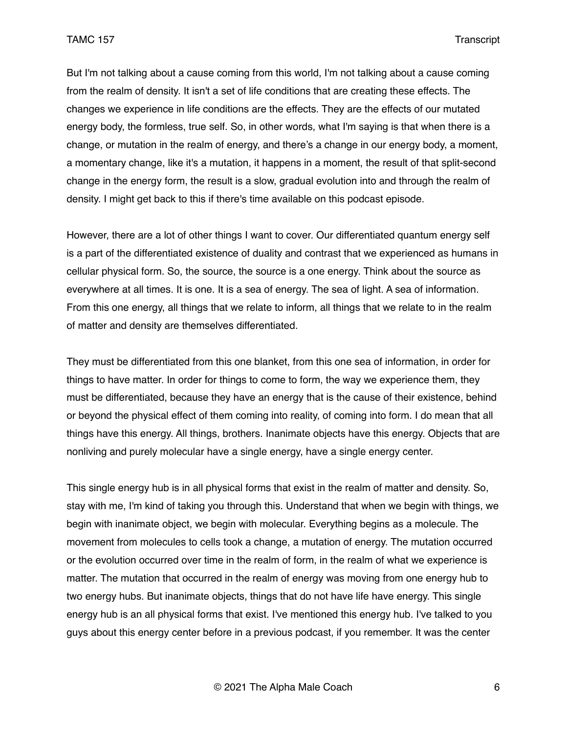But I'm not talking about a cause coming from this world, I'm not talking about a cause coming from the realm of density. It isn't a set of life conditions that are creating these effects. The changes we experience in life conditions are the effects. They are the effects of our mutated energy body, the formless, true self. So, in other words, what I'm saying is that when there is a change, or mutation in the realm of energy, and there's a change in our energy body, a moment, a momentary change, like it's a mutation, it happens in a moment, the result of that split-second change in the energy form, the result is a slow, gradual evolution into and through the realm of density. I might get back to this if there's time available on this podcast episode.

However, there are a lot of other things I want to cover. Our differentiated quantum energy self is a part of the differentiated existence of duality and contrast that we experienced as humans in cellular physical form. So, the source, the source is a one energy. Think about the source as everywhere at all times. It is one. It is a sea of energy. The sea of light. A sea of information. From this one energy, all things that we relate to inform, all things that we relate to in the realm of matter and density are themselves differentiated.

They must be differentiated from this one blanket, from this one sea of information, in order for things to have matter. In order for things to come to form, the way we experience them, they must be differentiated, because they have an energy that is the cause of their existence, behind or beyond the physical effect of them coming into reality, of coming into form. I do mean that all things have this energy. All things, brothers. Inanimate objects have this energy. Objects that are nonliving and purely molecular have a single energy, have a single energy center.

This single energy hub is in all physical forms that exist in the realm of matter and density. So, stay with me, I'm kind of taking you through this. Understand that when we begin with things, we begin with inanimate object, we begin with molecular. Everything begins as a molecule. The movement from molecules to cells took a change, a mutation of energy. The mutation occurred or the evolution occurred over time in the realm of form, in the realm of what we experience is matter. The mutation that occurred in the realm of energy was moving from one energy hub to two energy hubs. But inanimate objects, things that do not have life have energy. This single energy hub is an all physical forms that exist. I've mentioned this energy hub. I've talked to you guys about this energy center before in a previous podcast, if you remember. It was the center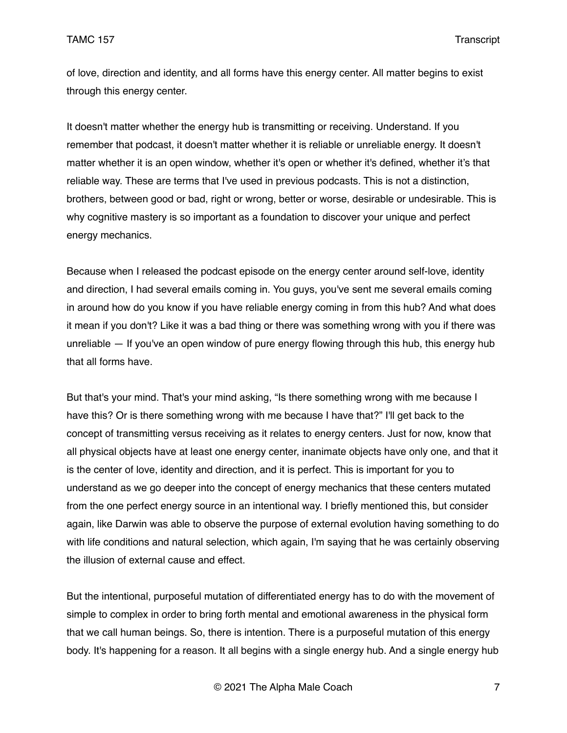of love, direction and identity, and all forms have this energy center. All matter begins to exist through this energy center.

It doesn't matter whether the energy hub is transmitting or receiving. Understand. If you remember that podcast, it doesn't matter whether it is reliable or unreliable energy. It doesn't matter whether it is an open window, whether it's open or whether it's defined, whether it's that reliable way. These are terms that I've used in previous podcasts. This is not a distinction, brothers, between good or bad, right or wrong, better or worse, desirable or undesirable. This is why cognitive mastery is so important as a foundation to discover your unique and perfect energy mechanics.

Because when I released the podcast episode on the energy center around self-love, identity and direction, I had several emails coming in. You guys, you've sent me several emails coming in around how do you know if you have reliable energy coming in from this hub? And what does it mean if you don't? Like it was a bad thing or there was something wrong with you if there was unreliable — If you've an open window of pure energy flowing through this hub, this energy hub that all forms have.

But that's your mind. That's your mind asking, "Is there something wrong with me because I have this? Or is there something wrong with me because I have that?" I'll get back to the concept of transmitting versus receiving as it relates to energy centers. Just for now, know that all physical objects have at least one energy center, inanimate objects have only one, and that it is the center of love, identity and direction, and it is perfect. This is important for you to understand as we go deeper into the concept of energy mechanics that these centers mutated from the one perfect energy source in an intentional way. I briefly mentioned this, but consider again, like Darwin was able to observe the purpose of external evolution having something to do with life conditions and natural selection, which again, I'm saying that he was certainly observing the illusion of external cause and effect.

But the intentional, purposeful mutation of differentiated energy has to do with the movement of simple to complex in order to bring forth mental and emotional awareness in the physical form that we call human beings. So, there is intention. There is a purposeful mutation of this energy body. It's happening for a reason. It all begins with a single energy hub. And a single energy hub

© 2021 The Alpha Male Coach 7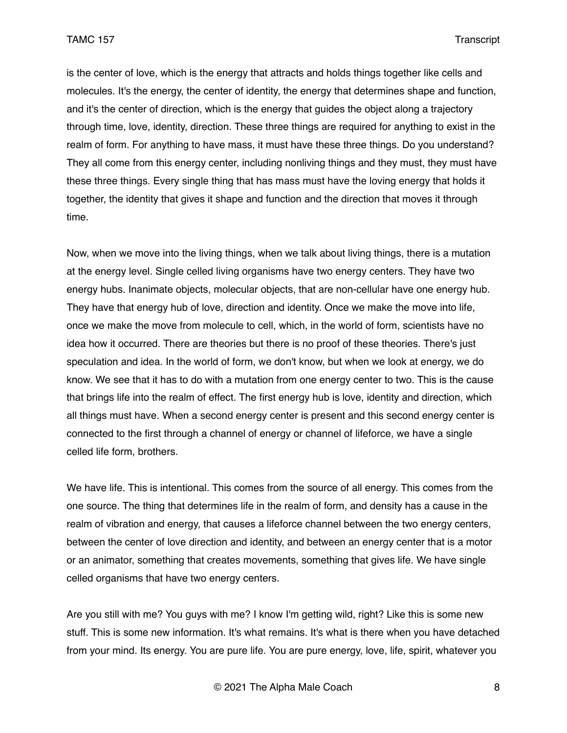is the center of love, which is the energy that attracts and holds things together like cells and molecules. It's the energy, the center of identity, the energy that determines shape and function, and it's the center of direction, which is the energy that guides the object along a trajectory through time, love, identity, direction. These three things are required for anything to exist in the realm of form. For anything to have mass, it must have these three things. Do you understand? They all come from this energy center, including nonliving things and they must, they must have these three things. Every single thing that has mass must have the loving energy that holds it together, the identity that gives it shape and function and the direction that moves it through time.

Now, when we move into the living things, when we talk about living things, there is a mutation at the energy level. Single celled living organisms have two energy centers. They have two energy hubs. Inanimate objects, molecular objects, that are non-cellular have one energy hub. They have that energy hub of love, direction and identity. Once we make the move into life, once we make the move from molecule to cell, which, in the world of form, scientists have no idea how it occurred. There are theories but there is no proof of these theories. There's just speculation and idea. In the world of form, we don't know, but when we look at energy, we do know. We see that it has to do with a mutation from one energy center to two. This is the cause that brings life into the realm of effect. The first energy hub is love, identity and direction, which all things must have. When a second energy center is present and this second energy center is connected to the first through a channel of energy or channel of lifeforce, we have a single celled life form, brothers.

We have life. This is intentional. This comes from the source of all energy. This comes from the one source. The thing that determines life in the realm of form, and density has a cause in the realm of vibration and energy, that causes a lifeforce channel between the two energy centers, between the center of love direction and identity, and between an energy center that is a motor or an animator, something that creates movements, something that gives life. We have single celled organisms that have two energy centers.

Are you still with me? You guys with me? I know I'm getting wild, right? Like this is some new stuff. This is some new information. It's what remains. It's what is there when you have detached from your mind. Its energy. You are pure life. You are pure energy, love, life, spirit, whatever you

© 2021 The Alpha Male Coach 8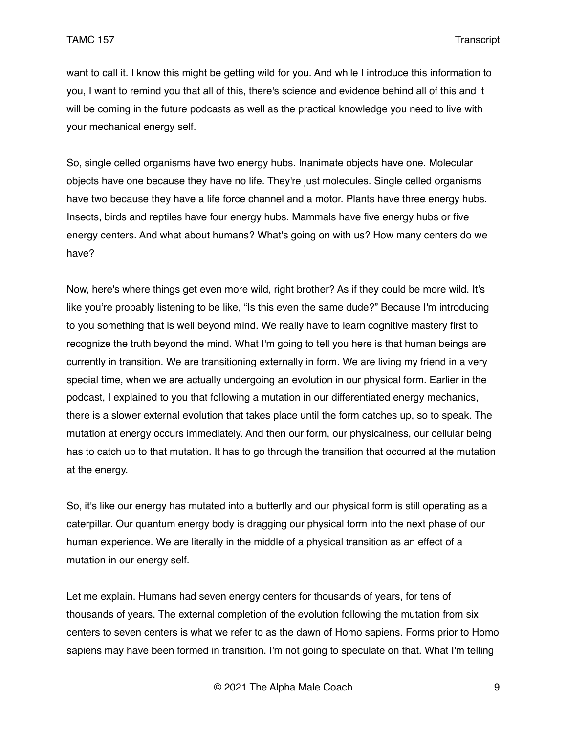want to call it. I know this might be getting wild for you. And while I introduce this information to you, I want to remind you that all of this, there's science and evidence behind all of this and it will be coming in the future podcasts as well as the practical knowledge you need to live with your mechanical energy self.

So, single celled organisms have two energy hubs. Inanimate objects have one. Molecular objects have one because they have no life. They're just molecules. Single celled organisms have two because they have a life force channel and a motor. Plants have three energy hubs. Insects, birds and reptiles have four energy hubs. Mammals have five energy hubs or five energy centers. And what about humans? What's going on with us? How many centers do we have?

Now, here's where things get even more wild, right brother? As if they could be more wild. It's like you're probably listening to be like, "Is this even the same dude?" Because I'm introducing to you something that is well beyond mind. We really have to learn cognitive mastery first to recognize the truth beyond the mind. What I'm going to tell you here is that human beings are currently in transition. We are transitioning externally in form. We are living my friend in a very special time, when we are actually undergoing an evolution in our physical form. Earlier in the podcast, I explained to you that following a mutation in our differentiated energy mechanics, there is a slower external evolution that takes place until the form catches up, so to speak. The mutation at energy occurs immediately. And then our form, our physicalness, our cellular being has to catch up to that mutation. It has to go through the transition that occurred at the mutation at the energy.

So, it's like our energy has mutated into a butterfly and our physical form is still operating as a caterpillar. Our quantum energy body is dragging our physical form into the next phase of our human experience. We are literally in the middle of a physical transition as an effect of a mutation in our energy self.

Let me explain. Humans had seven energy centers for thousands of years, for tens of thousands of years. The external completion of the evolution following the mutation from six centers to seven centers is what we refer to as the dawn of Homo sapiens. Forms prior to Homo sapiens may have been formed in transition. I'm not going to speculate on that. What I'm telling

© 2021 The Alpha Male Coach 9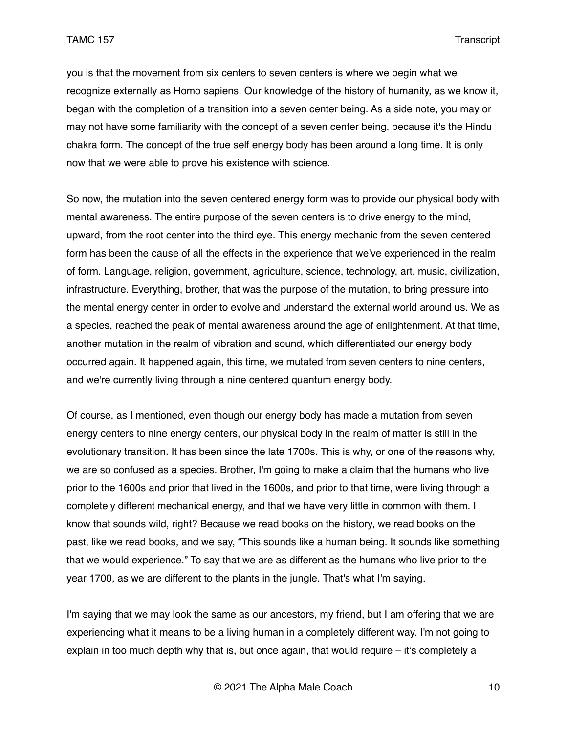you is that the movement from six centers to seven centers is where we begin what we recognize externally as Homo sapiens. Our knowledge of the history of humanity, as we know it, began with the completion of a transition into a seven center being. As a side note, you may or may not have some familiarity with the concept of a seven center being, because it's the Hindu chakra form. The concept of the true self energy body has been around a long time. It is only now that we were able to prove his existence with science.

So now, the mutation into the seven centered energy form was to provide our physical body with mental awareness. The entire purpose of the seven centers is to drive energy to the mind, upward, from the root center into the third eye. This energy mechanic from the seven centered form has been the cause of all the effects in the experience that we've experienced in the realm of form. Language, religion, government, agriculture, science, technology, art, music, civilization, infrastructure. Everything, brother, that was the purpose of the mutation, to bring pressure into the mental energy center in order to evolve and understand the external world around us. We as a species, reached the peak of mental awareness around the age of enlightenment. At that time, another mutation in the realm of vibration and sound, which differentiated our energy body occurred again. It happened again, this time, we mutated from seven centers to nine centers, and we're currently living through a nine centered quantum energy body.

Of course, as I mentioned, even though our energy body has made a mutation from seven energy centers to nine energy centers, our physical body in the realm of matter is still in the evolutionary transition. It has been since the late 1700s. This is why, or one of the reasons why, we are so confused as a species. Brother, I'm going to make a claim that the humans who live prior to the 1600s and prior that lived in the 1600s, and prior to that time, were living through a completely different mechanical energy, and that we have very little in common with them. I know that sounds wild, right? Because we read books on the history, we read books on the past, like we read books, and we say, "This sounds like a human being. It sounds like something that we would experience." To say that we are as different as the humans who live prior to the year 1700, as we are different to the plants in the jungle. That's what I'm saying.

I'm saying that we may look the same as our ancestors, my friend, but I am offering that we are experiencing what it means to be a living human in a completely different way. I'm not going to explain in too much depth why that is, but once again, that would require – it's completely a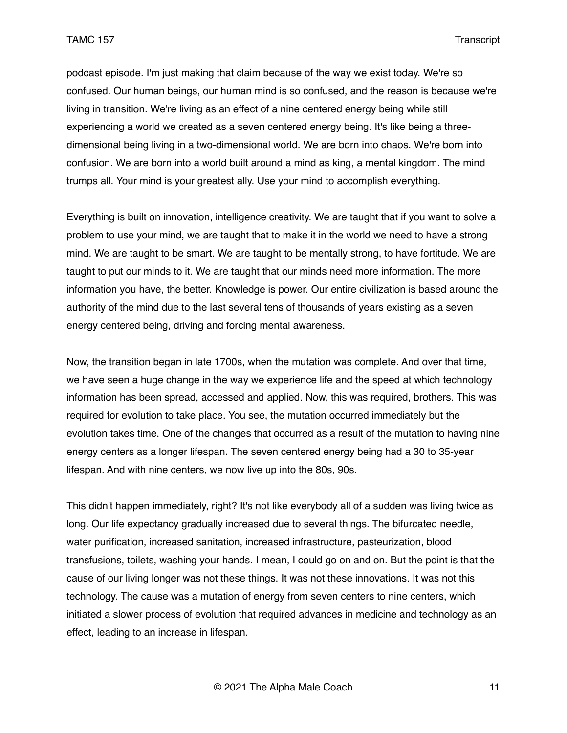podcast episode. I'm just making that claim because of the way we exist today. We're so confused. Our human beings, our human mind is so confused, and the reason is because we're living in transition. We're living as an effect of a nine centered energy being while still experiencing a world we created as a seven centered energy being. It's like being a threedimensional being living in a two-dimensional world. We are born into chaos. We're born into confusion. We are born into a world built around a mind as king, a mental kingdom. The mind trumps all. Your mind is your greatest ally. Use your mind to accomplish everything.

Everything is built on innovation, intelligence creativity. We are taught that if you want to solve a problem to use your mind, we are taught that to make it in the world we need to have a strong mind. We are taught to be smart. We are taught to be mentally strong, to have fortitude. We are taught to put our minds to it. We are taught that our minds need more information. The more information you have, the better. Knowledge is power. Our entire civilization is based around the authority of the mind due to the last several tens of thousands of years existing as a seven energy centered being, driving and forcing mental awareness.

Now, the transition began in late 1700s, when the mutation was complete. And over that time, we have seen a huge change in the way we experience life and the speed at which technology information has been spread, accessed and applied. Now, this was required, brothers. This was required for evolution to take place. You see, the mutation occurred immediately but the evolution takes time. One of the changes that occurred as a result of the mutation to having nine energy centers as a longer lifespan. The seven centered energy being had a 30 to 35-year lifespan. And with nine centers, we now live up into the 80s, 90s.

This didn't happen immediately, right? It's not like everybody all of a sudden was living twice as long. Our life expectancy gradually increased due to several things. The bifurcated needle, water purification, increased sanitation, increased infrastructure, pasteurization, blood transfusions, toilets, washing your hands. I mean, I could go on and on. But the point is that the cause of our living longer was not these things. It was not these innovations. It was not this technology. The cause was a mutation of energy from seven centers to nine centers, which initiated a slower process of evolution that required advances in medicine and technology as an effect, leading to an increase in lifespan.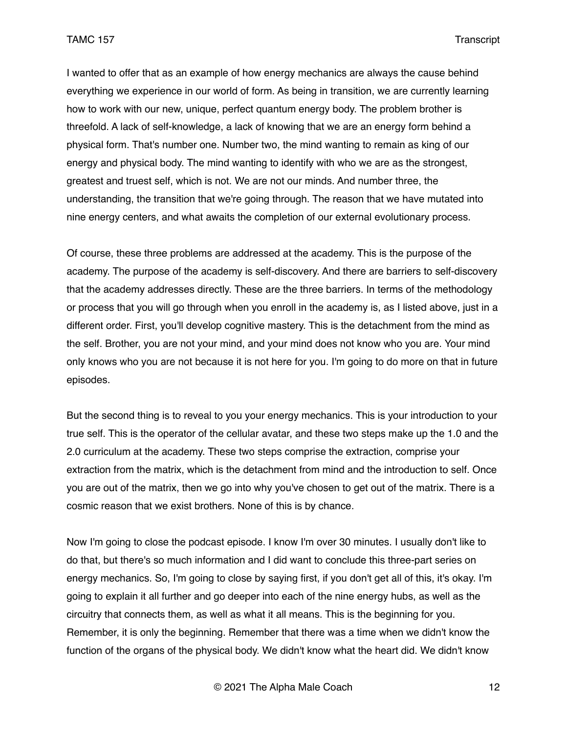I wanted to offer that as an example of how energy mechanics are always the cause behind everything we experience in our world of form. As being in transition, we are currently learning how to work with our new, unique, perfect quantum energy body. The problem brother is threefold. A lack of self-knowledge, a lack of knowing that we are an energy form behind a physical form. That's number one. Number two, the mind wanting to remain as king of our energy and physical body. The mind wanting to identify with who we are as the strongest, greatest and truest self, which is not. We are not our minds. And number three, the understanding, the transition that we're going through. The reason that we have mutated into nine energy centers, and what awaits the completion of our external evolutionary process.

Of course, these three problems are addressed at the academy. This is the purpose of the academy. The purpose of the academy is self-discovery. And there are barriers to self-discovery that the academy addresses directly. These are the three barriers. In terms of the methodology or process that you will go through when you enroll in the academy is, as I listed above, just in a different order. First, you'll develop cognitive mastery. This is the detachment from the mind as the self. Brother, you are not your mind, and your mind does not know who you are. Your mind only knows who you are not because it is not here for you. I'm going to do more on that in future episodes.

But the second thing is to reveal to you your energy mechanics. This is your introduction to your true self. This is the operator of the cellular avatar, and these two steps make up the 1.0 and the 2.0 curriculum at the academy. These two steps comprise the extraction, comprise your extraction from the matrix, which is the detachment from mind and the introduction to self. Once you are out of the matrix, then we go into why you've chosen to get out of the matrix. There is a cosmic reason that we exist brothers. None of this is by chance.

Now I'm going to close the podcast episode. I know I'm over 30 minutes. I usually don't like to do that, but there's so much information and I did want to conclude this three-part series on energy mechanics. So, I'm going to close by saying first, if you don't get all of this, it's okay. I'm going to explain it all further and go deeper into each of the nine energy hubs, as well as the circuitry that connects them, as well as what it all means. This is the beginning for you. Remember, it is only the beginning. Remember that there was a time when we didn't know the function of the organs of the physical body. We didn't know what the heart did. We didn't know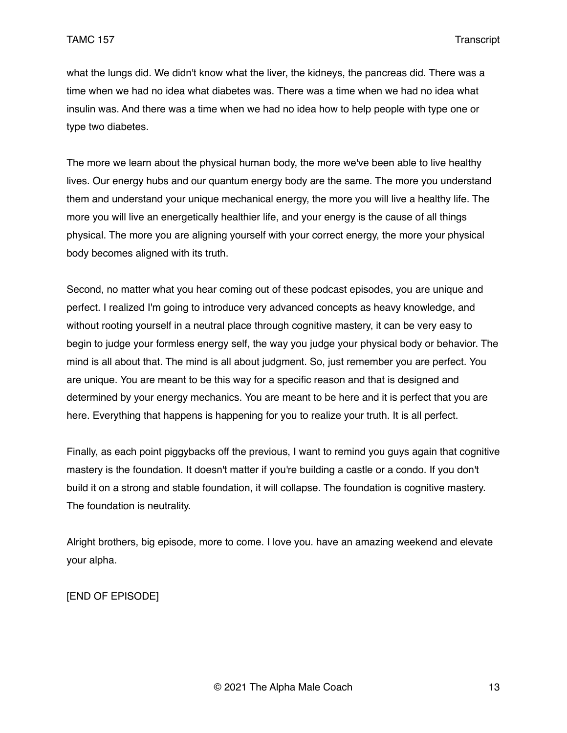what the lungs did. We didn't know what the liver, the kidneys, the pancreas did. There was a time when we had no idea what diabetes was. There was a time when we had no idea what insulin was. And there was a time when we had no idea how to help people with type one or type two diabetes.

The more we learn about the physical human body, the more we've been able to live healthy lives. Our energy hubs and our quantum energy body are the same. The more you understand them and understand your unique mechanical energy, the more you will live a healthy life. The more you will live an energetically healthier life, and your energy is the cause of all things physical. The more you are aligning yourself with your correct energy, the more your physical body becomes aligned with its truth.

Second, no matter what you hear coming out of these podcast episodes, you are unique and perfect. I realized I'm going to introduce very advanced concepts as heavy knowledge, and without rooting yourself in a neutral place through cognitive mastery, it can be very easy to begin to judge your formless energy self, the way you judge your physical body or behavior. The mind is all about that. The mind is all about judgment. So, just remember you are perfect. You are unique. You are meant to be this way for a specific reason and that is designed and determined by your energy mechanics. You are meant to be here and it is perfect that you are here. Everything that happens is happening for you to realize your truth. It is all perfect.

Finally, as each point piggybacks off the previous, I want to remind you guys again that cognitive mastery is the foundation. It doesn't matter if you're building a castle or a condo. If you don't build it on a strong and stable foundation, it will collapse. The foundation is cognitive mastery. The foundation is neutrality.

Alright brothers, big episode, more to come. I love you. have an amazing weekend and elevate your alpha.

[END OF EPISODE]